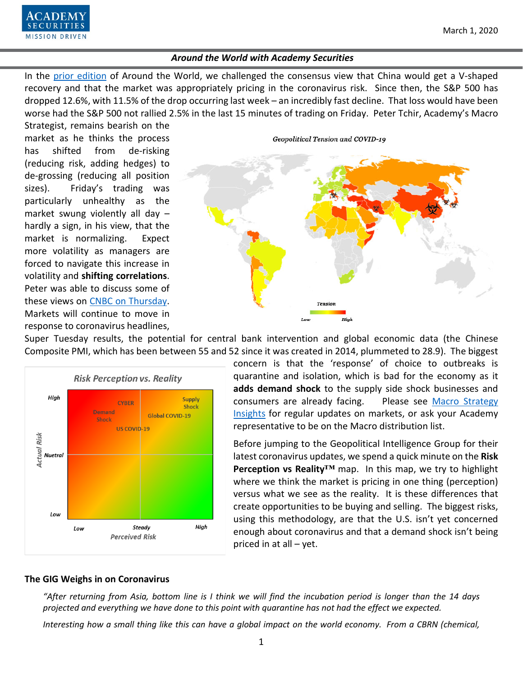

In the [prior edition](https://www.academysecurities.com/wordpress/wp-content/uploads/2020/02/Around-the-World-with-Academy-Securities-2-14-20.pdf) of Around the World, we challenged the consensus view that China would get a V-shaped recovery and that the market was appropriately pricing in the coronavirus risk. Since then, the S&P 500 has dropped 12.6%, with 11.5% of the drop occurring last week – an incredibly fast decline. That loss would have been worse had the S&P 500 not rallied 2.5% in the last 15 minutes of trading on Friday. Peter Tchir, Academy's Macro

Strategist, remains bearish on the market as he thinks the process has shifted from de-risking (reducing risk, adding hedges) to de-grossing (reducing all position sizes). Friday's trading was particularly unhealthy as the market swung violently all day – hardly a sign, in his view, that the market is normalizing. Expect more volatility as managers are forced to navigate this increase in volatility and **shifting correlations**. Peter was able to discuss some of these views on [CNBC on Thursday.](https://www.cnbc.com/video/2020/02/27/santelli-exchange-negative-feedback-loops.html?&qsearchterm=tchir) Markets will continue to move in response to coronavirus headlines,

**MISSION DRIVEN** 



Super Tuesday results, the potential for central bank intervention and global economic data (the Chinese Composite PMI, which has been between 55 and 52 since it was created in 2014, plummeted to 28.9). The biggest



concern is that the 'response' of choice to outbreaks is quarantine and isolation, which is bad for the economy as it **adds demand shock** to the supply side shock businesses and consumers are already facing. Please see [Macro Strategy](https://www.academysecurities.com/macro-strategy-insights/)  [Insights](https://www.academysecurities.com/macro-strategy-insights/) for regular updates on markets, or ask your Academy representative to be on the Macro distribution list.

Before jumping to the Geopolitical Intelligence Group for their latest coronavirus updates, we spend a quick minute on the **Risk Perception vs Reality™** map. In this map, we try to highlight where we think the market is pricing in one thing (perception) versus what we see as the reality. It is these differences that create opportunities to be buying and selling. The biggest risks, using this methodology, are that the U.S. isn't yet concerned enough about coronavirus and that a demand shock isn't being priced in at all  $-$  yet.

#### **The GIG Weighs in on Coronavirus**

*"After returning from Asia, bottom line is I think we will find the incubation period is longer than the 14 days projected and everything we have done to this point with quarantine has not had the effect we expected.* 

*Interesting how a small thing like this can have a global impact on the world economy. From a CBRN (chemical,*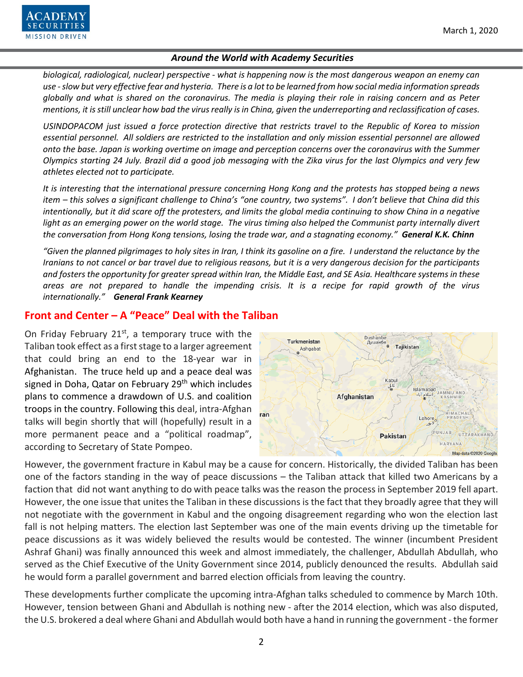

*biological, radiological, nuclear) perspective - what is happening now is the most dangerous weapon an enemy can use - slow but very effective fear and hysteria. There is a lot to be learned from how social media information spreads globally and what is shared on the coronavirus. The media is playing their role in raising concern and as Peter mentions, it is still unclear how bad the virus really is in China, given the underreporting and reclassification of cases.* 

*USINDOPACOM just issued a force protection directive that restricts travel to the Republic of Korea to mission essential personnel. All soldiers are restricted to the installation and only mission essential personnel are allowed onto the base. Japan is working overtime on image and perception concerns over the coronavirus with the Summer Olympics starting 24 July. Brazil did a good job messaging with the Zika virus for the last Olympics and very few athletes elected not to participate.* 

*It is interesting that the international pressure concerning Hong Kong and the protests has stopped being a news item – this solves a significant challenge to China's "one country, two systems". I don't believe that China did this intentionally, but it did scare off the protesters, and limits the global media continuing to show China in a negative light as an emerging power on the world stage. The virus timing also helped the Communist party internally divert the conversation from Hong Kong tensions, losing the trade war, and a stagnating economy." General K.K. Chinn*

*"Given the planned pilgrimages to holy sites in Iran, I think its gasoline on a fire. I understand the reluctance by the Iranians to not cancel or bar travel due to religious reasons, but it is a very dangerous decision for the participants and fosters the opportunity for greater spread within Iran, the Middle East, and SE Asia. Healthcare systems in these areas are not prepared to handle the impending crisis. It is a recipe for rapid growth of the virus internationally." General Frank Kearney*

### **Front and Center – A "Peace" Deal with the Taliban**

On Friday February 21 $st$ , a temporary truce with the Taliban took effect as a first stage to a larger agreement that could bring an end to the 18-year war in Afghanistan. The truce held up and a peace deal was signed in Doha, Qatar on February 29<sup>th</sup> which includes plans to commence a drawdown of U.S. and coalition troops in the country. Following this deal, intra-Afghan talks will begin shortly that will (hopefully) result in a more permanent peace and a "political roadmap", according to Secretary of State Pompeo.



However, the government fracture in Kabul may be a cause for concern. Historically, the divided Taliban has been one of the factors standing in the way of peace discussions – the Taliban attack that killed two Americans by a faction that did not want anything to do with peace talks was the reason the process in September 2019 fell apart. However, the one issue that unites the Taliban in these discussions is the fact that they broadly agree that they will not negotiate with the government in Kabul and the ongoing disagreement regarding who won the election last fall is not helping matters. The election last September was one of the main events driving up the timetable for peace discussions as it was widely believed the results would be contested. The winner (incumbent President Ashraf Ghani) was finally announced this week and almost immediately, the challenger, Abdullah Abdullah, who served as the Chief Executive of the Unity Government since 2014, publicly denounced the results. Abdullah said he would form a parallel government and barred election officials from leaving the country.

These developments further complicate the upcoming intra-Afghan talks scheduled to commence by March 10th. However, tension between Ghani and Abdullah is nothing new - after the 2014 election, which was also disputed, the U.S. brokered a deal where Ghani and Abdullah would both have a hand in running the government - the former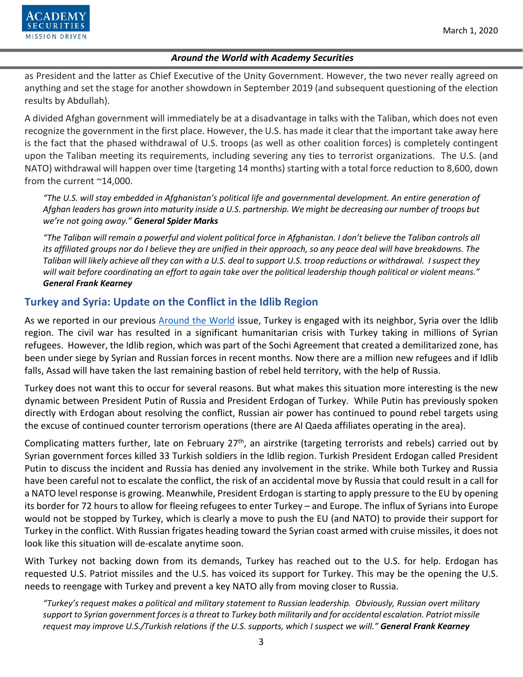

as President and the latter as Chief Executive of the Unity Government. However, the two never really agreed on anything and set the stage for another showdown in September 2019 (and subsequent questioning of the election results by Abdullah).

A divided Afghan government will immediately be at a disadvantage in talks with the Taliban, which does not even recognize the government in the first place. However, the U.S. has made it clear that the important take away here is the fact that the phased withdrawal of U.S. troops (as well as other coalition forces) is completely contingent upon the Taliban meeting its requirements, including severing any ties to terrorist organizations. The U.S. (and NATO) withdrawal will happen over time (targeting 14 months) starting with a total force reduction to 8,600, down from the current ~14,000.

*"The U.S. will stay embedded in Afghanistan's political life and governmental development. An entire generation of Afghan leaders has grown into maturity inside a U.S. partnership. We might be decreasing our number of troops but we're not going away." General Spider Marks* 

*"The Taliban will remain a powerful and violent political force in Afghanistan. I don't believe the Taliban controls all its affiliated groups nor do I believe they are unified in their approach, so any peace deal will have breakdowns. The Taliban will likely achieve all they can with a U.S. deal to support U.S. troop reductions or withdrawal. I suspect they will wait before coordinating an effort to again take over the political leadership though political or violent means." General Frank Kearney*

# **Turkey and Syria: Update on the Conflict in the Idlib Region**

As we reported in our previous [Around the World](https://www.academysecurities.com/wordpress/wp-content/uploads/2020/02/Around-the-World-with-Academy-Securities-2-14-20.pdf) issue, Turkey is engaged with its neighbor, Syria over the Idlib region. The civil war has resulted in a significant humanitarian crisis with Turkey taking in millions of Syrian refugees. However, the Idlib region, which was part of the Sochi Agreement that created a demilitarized zone, has been under siege by Syrian and Russian forces in recent months. Now there are a million new refugees and if Idlib falls, Assad will have taken the last remaining bastion of rebel held territory, with the help of Russia.

<span id="page-2-0"></span>Turkey does not want this to occur for several reasons. But what makes this situation more interesting is the new dynamic between President Putin of Russia and President Erdogan of Turkey. While Putin has previously spoken directly with Erdogan about resolving the conflict, Russian air power has continued to pound rebel targets using the excuse of continued counter terrorism operations (there are Al Qaeda affiliates operating in the area).

Complicating matters further, late on February  $27<sup>th</sup>$ , an airstrike (targeting terrorists and rebels) carried out by Syrian government forces killed 33 Turkish soldiers in the Idlib region. Turkish President Erdogan called President Putin to discuss the incident and Russia has denied any involvement in the strike. While both Turkey and Russia have been careful not to escalate the conflict, the risk of an accidental move by Russia that could result in a call for a NATO level response is growing. Meanwhile, President Erdogan is starting to apply pressure to the EU by opening its border for 72 hours to allow for fleeing refugees to enter Turkey – and Europe. The influx of Syrians into Europe would not be stopped by Turkey, which is clearly a move to push the EU (and NATO) to provide their support for Turkey in the conflict. With Russian frigates heading toward the Syrian coast armed with cruise missiles, it does not look like this situation will de-escalate anytime soon.

With Turkey not backing down from its demands, Turkey has reached out to the U.S. for help. Erdogan has requested U.S. Patriot missiles and the U.S. has voiced its support for Turkey. This may be the opening the U.S. needs to reengage with Turkey and prevent a key NATO ally from moving closer to Russia.

*"Turkey's request makes a political and military statement to Russian leadership. Obviously, Russian overt military support to Syrian government forces is a threat to Turkey both militarily and for accidental escalation. Patriot missile request may improve U.S./Turkish relations if the U.S. supports, which I suspect we will." General Frank Kearney*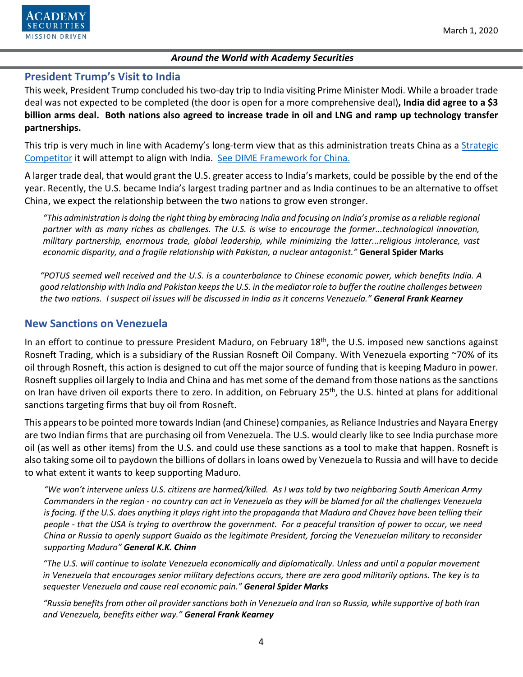

#### **President Trump's Visit to India**

This week, President Trump concluded his two-day trip to India visiting Prime Minister Modi. While a broader trade deal was not expected to be completed (the door is open for a more comprehensive deal)**, India did agree to a \$3 billion arms deal. Both nations also agreed to increase trade in oil and LNG and ramp up technology transfer partnerships.**

This trip is very much in line with Academy's long-term view that as this administration treats China as a Strategic [Competitor](https://www.academysecurities.com/wordpress/wp-content/uploads/2019/05/Crossing-the-Rubicon-with-China.pdf) it will attempt to align with India. [See DIME Framework for China.](https://www.academysecurities.com/wordpress/wp-content/uploads/2019/12/A-D.I.M.E.-Framework-for-China-Trade-Strategic-Competition.pdf)

A larger trade deal, that would grant the U.S. greater access to India's markets, could be possible by the end of the year. Recently, the U.S. became India's largest trading partner and as India continues to be an alternative to offset China, we expect the relationship between the two nations to grow even stronger.

*"This administration is doing the right thing by embracing India and focusing on India's promise as a reliable regional partner with as many riches as challenges. The U.S. is wise to encourage the former...technological innovation, military partnership, enormous trade, global leadership, while minimizing the latter...religious intolerance, vast economic disparity, and a fragile relationship with Pakistan, a nuclear antagonist."* **General Spider Marks**

*"POTUS seemed well received and the U.S. is a counterbalance to Chinese economic power, which benefits India. A good relationship with India and Pakistan keeps the U.S. in the mediator role to buffer the routine challenges between the two nations. I suspect oil issues will be discussed in India as it concerns Venezuela." General Frank Kearney* 

### **New Sanctions on Venezuela**

In an effort to continue to pressure President Maduro, on February 18<sup>th</sup>, the U.S. imposed new sanctions against Rosneft Trading, which is a subsidiary of the Russian Rosneft Oil Company. With Venezuela exporting ~70% of its oil through Rosneft, this action is designed to cut off the major source of funding that is keeping Maduro in power. Rosneft supplies oil largely to India and China and has met some of the demand from those nations as the sanctions on Iran have driven oil exports there to zero. In addition, on February 25<sup>th</sup>, the U.S. hinted at plans for additional sanctions targeting firms that buy oil from Rosneft.

This appears to be pointed more towards Indian (and Chinese) companies, as Reliance Industries and Nayara Energy are two Indian firms that are purchasing oil from Venezuela. The U.S. would clearly like to see India purchase more oil (as well as other items) from the U.S. and could use these sanctions as a tool to make that happen. Rosneft is also taking some oil to paydown the billions of dollars in loans owed by Venezuela to Russia and will have to decide to what extent it wants to keep supporting Maduro.

*"We won't intervene unless U.S. citizens are harmed/killed. As I was told by two neighboring South American Army Commanders in the region - no country can act in Venezuela as they will be blamed for all the challenges Venezuela is facing. If the U.S. does anything it plays right into the propaganda that Maduro and Chavez have been telling their people - that the USA is trying to overthrow the government. For a peaceful transition of power to occur, we need China or Russia to openly support Guaido as the legitimate President, forcing the Venezuelan military to reconsider supporting Maduro" General K.K. Chinn*

*"The U.S. will continue to isolate Venezuela economically and diplomatically. Unless and until a popular movement in Venezuela that encourages senior military defections occurs, there are zero good militarily options. The key is to sequester Venezuela and cause real economic pain." General Spider Marks*

*"Russia benefits from other oil provider sanctions both in Venezuela and Iran so Russia, while supportive of both Iran and Venezuela, benefits either way." General Frank Kearney*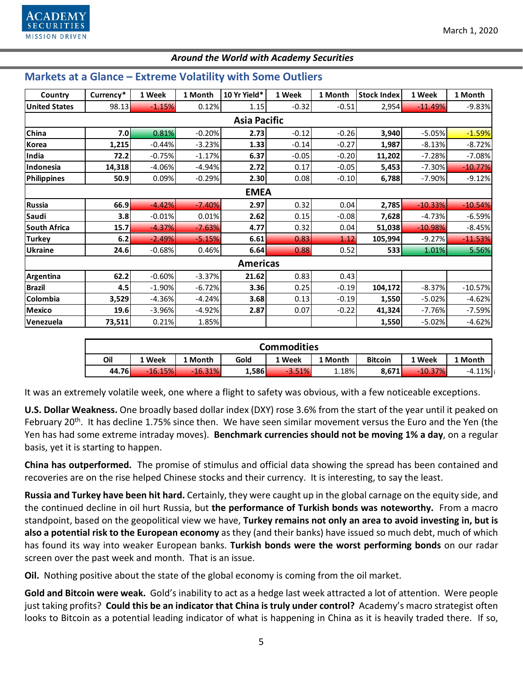

## **Markets at a Glance – Extreme Volatility with Some Outliers**

| Country              | Currency* | 1 Week   | 1 Month  | 10 Yr Yield* | 1 Week  | 1 Month | <b>Stock Index</b> | 1 Week    | 1 Month   |  |  |  |  |
|----------------------|-----------|----------|----------|--------------|---------|---------|--------------------|-----------|-----------|--|--|--|--|
| <b>United States</b> | 98.13     | $-1.15%$ | 0.12%    | 1.15         | $-0.32$ | $-0.51$ | 2,954              | $-11.49%$ | $-9.83%$  |  |  |  |  |
| <b>Asia Pacific</b>  |           |          |          |              |         |         |                    |           |           |  |  |  |  |
| China                | 7.0       | 0.81%    | $-0.20%$ | 2.73         | $-0.12$ | $-0.26$ | 3,940              | $-5.05%$  | $-1.59%$  |  |  |  |  |
| Korea                | 1,215     | $-0.44%$ | $-3.23%$ | 1.33         | $-0.14$ | $-0.27$ | 1,987              | $-8.13%$  | $-8.72%$  |  |  |  |  |
| India                | 72.2      | $-0.75%$ | $-1.17%$ | 6.37         | $-0.05$ | $-0.20$ | 11,202             | $-7.28%$  | $-7.08%$  |  |  |  |  |
| Indonesia            | 14,318    | $-4.06%$ | $-4.94%$ | 2.72         | 0.17    | $-0.05$ | 5,453              | $-7.30\%$ | $-10.77%$ |  |  |  |  |
| <b>Philippines</b>   | 50.9      | 0.09%    | $-0.29%$ | 2.30         | 0.08    | $-0.10$ | 6,788              | $-7.90%$  | $-9.12%$  |  |  |  |  |
| <b>EMEA</b>          |           |          |          |              |         |         |                    |           |           |  |  |  |  |
| <b>Russia</b>        | 66.9      | $-4.42%$ | $-7.40%$ | 2.97         | 0.32    | 0.04    | 2,785              | $-10.33%$ | $-10.54%$ |  |  |  |  |
| Saudi                | 3.8       | $-0.01%$ | 0.01%    | 2.62         | 0.15    | $-0.08$ | 7,628              | $-4.73%$  | $-6.59%$  |  |  |  |  |
| South Africa         | 15.7      | $-4.37%$ | $-7.63%$ | 4.77         | 0.32    | 0.04    | 51,038             | $-10.98%$ | $-8.45%$  |  |  |  |  |
| <b>Turkey</b>        | 6.2       | $-2.49%$ | $-5.15%$ | 6.61         | 0.83    | 1.12    | 105,994            | $-9.27%$  | $-11.53%$ |  |  |  |  |
| <b>Ukraine</b>       | 24.6      | $-0.68%$ | 0.46%    | 6.64         | 0.88    | 0.52    | 533                | 1.01%     | 5.56%     |  |  |  |  |
| <b>Americas</b>      |           |          |          |              |         |         |                    |           |           |  |  |  |  |
| Argentina            | 62.2      | $-0.60%$ | $-3.37%$ | 21.62        | 0.83    | 0.43    |                    |           |           |  |  |  |  |
| <b>Brazil</b>        | 4.5       | $-1.90%$ | $-6.72%$ | 3.36         | 0.25    | $-0.19$ | 104,172            | $-8.37%$  | $-10.57%$ |  |  |  |  |
| Colombia             | 3,529     | $-4.36%$ | $-4.24%$ | 3.68         | 0.13    | $-0.19$ | 1,550              | $-5.02%$  | $-4.62%$  |  |  |  |  |
| <b>Mexico</b>        | 19.6      | $-3.96%$ | $-4.92%$ | 2.87         | 0.07    | $-0.22$ | 41,324             | $-7.76%$  | $-7.59%$  |  |  |  |  |
| Venezuela            | 73,511    | 0.21%    | 1.85%    |              |         |         | 1,550              | $-5.02%$  | $-4.62%$  |  |  |  |  |

| <b>Commodities</b> |           |           |       |          |         |                |           |             |  |  |  |
|--------------------|-----------|-----------|-------|----------|---------|----------------|-----------|-------------|--|--|--|
| Oil                | 1 Week    | 1 Month   | Gold  | 1 Week   | 1 Month | <b>Bitcoin</b> | 1 Week    | 1 Month     |  |  |  |
| 44.76              | $-16.15%$ | $-16.31%$ | 1,586 | $-3.51%$ | 1.18%   | 8,671          | $-10.37%$ | $-4.11\%$ i |  |  |  |

It was an extremely volatile week, one where a flight to safety was obvious, with a few noticeable exceptions.

**U.S. Dollar Weakness.** One broadly based dollar index (DXY) rose 3.6% from the start of the year until it peaked on February 20<sup>th</sup>. It has decline 1.75% since then. We have seen similar movement versus the Euro and the Yen (the Yen has had some extreme intraday moves). **Benchmark currencies should not be moving 1% a day**, on a regular basis, yet it is starting to happen.

**China has outperformed.** The promise of stimulus and official data showing the spread has been contained and recoveries are on the rise helped Chinese stocks and their currency. It is interesting, to say the least.

**Russia and Turkey have been hit hard.** Certainly, they were caught up in the global carnage on the equity side, and the continued decline in oil hurt Russia, but **the performance of Turkish bonds was noteworthy.** From a macro standpoint, based on the geopolitical view we have, **Turkey remains not only an area to avoid investing in, but is also a potential risk to the European economy** as they (and their banks) have issued so much debt, much of which has found its way into weaker European banks. **Turkish bonds were the worst performing bonds** on our radar screen over the past week and month. That is an issue.

**Oil.** Nothing positive about the state of the global economy is coming from the oil market.

**Gold and Bitcoin were weak.** Gold's inability to act as a hedge last week attracted a lot of attention. Were people just taking profits? **Could this be an indicator that China is truly under control?** Academy's macro strategist often looks to Bitcoin as a potential leading indicator of what is happening in China as it is heavily traded there. If so,